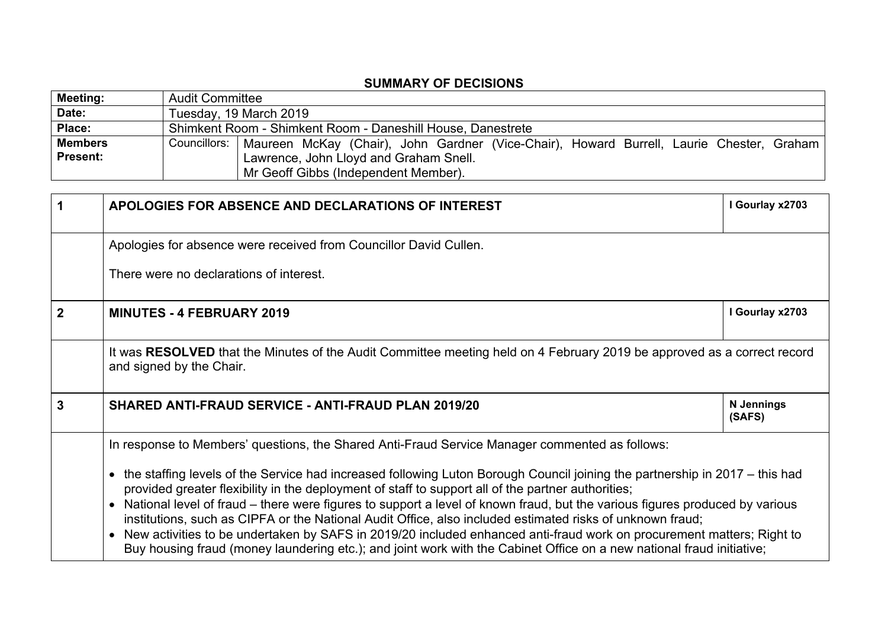## **SUMMARY OF DECISIONS**

| <b>Meeting:</b> | <b>Audit Committee</b> |                                                                                                         |  |
|-----------------|------------------------|---------------------------------------------------------------------------------------------------------|--|
| Date:           | Tuesday, 19 March 2019 |                                                                                                         |  |
| Place:          |                        | Shimkent Room - Shimkent Room - Daneshill House, Danestrete                                             |  |
| <b>Members</b>  |                        | Councillors:   Maureen McKay (Chair), John Gardner (Vice-Chair), Howard Burrell, Laurie Chester, Graham |  |
| <b>Present:</b> |                        | Lawrence, John Lloyd and Graham Snell.                                                                  |  |
|                 |                        | Mr Geoff Gibbs (Independent Member).                                                                    |  |

| 1              | APOLOGIES FOR ABSENCE AND DECLARATIONS OF INTEREST                                                                                                                                                                                                                                                                                                                            | I Gourlay x2703             |
|----------------|-------------------------------------------------------------------------------------------------------------------------------------------------------------------------------------------------------------------------------------------------------------------------------------------------------------------------------------------------------------------------------|-----------------------------|
|                | Apologies for absence were received from Councillor David Cullen.                                                                                                                                                                                                                                                                                                             |                             |
|                | There were no declarations of interest.                                                                                                                                                                                                                                                                                                                                       |                             |
| $\overline{2}$ | <b>MINUTES - 4 FEBRUARY 2019</b>                                                                                                                                                                                                                                                                                                                                              | I Gourlay x2703             |
|                | It was RESOLVED that the Minutes of the Audit Committee meeting held on 4 February 2019 be approved as a correct record<br>and signed by the Chair.                                                                                                                                                                                                                           |                             |
| 3              | <b>SHARED ANTI-FRAUD SERVICE - ANTI-FRAUD PLAN 2019/20</b>                                                                                                                                                                                                                                                                                                                    | <b>N</b> Jennings<br>(SAFS) |
|                | In response to Members' questions, the Shared Anti-Fraud Service Manager commented as follows:                                                                                                                                                                                                                                                                                |                             |
|                | the staffing levels of the Service had increased following Luton Borough Council joining the partnership in 2017 – this had<br>$\bullet$<br>provided greater flexibility in the deployment of staff to support all of the partner authorities;<br>National level of fraud – there were figures to support a level of known fraud, but the various figures produced by various |                             |
|                | institutions, such as CIPFA or the National Audit Office, also included estimated risks of unknown fraud;<br>New activities to be undertaken by SAFS in 2019/20 included enhanced anti-fraud work on procurement matters; Right to<br>$\bullet$<br>Buy housing fraud (money laundering etc.); and joint work with the Cabinet Office on a new national fraud initiative;      |                             |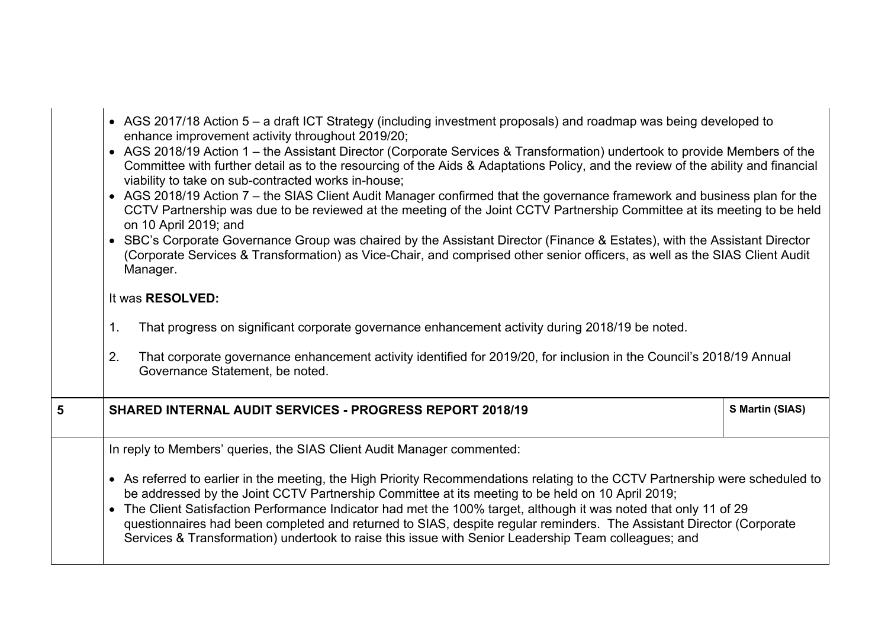|   | • AGS 2017/18 Action 5 – a draft ICT Strategy (including investment proposals) and roadmap was being developed to<br>enhance improvement activity throughout 2019/20;<br>• AGS 2018/19 Action 1 – the Assistant Director (Corporate Services & Transformation) undertook to provide Members of the<br>Committee with further detail as to the resourcing of the Aids & Adaptations Policy, and the review of the ability and financial<br>viability to take on sub-contracted works in-house;<br>• AGS 2018/19 Action 7 – the SIAS Client Audit Manager confirmed that the governance framework and business plan for the<br>CCTV Partnership was due to be reviewed at the meeting of the Joint CCTV Partnership Committee at its meeting to be held<br>on 10 April 2019; and<br>• SBC's Corporate Governance Group was chaired by the Assistant Director (Finance & Estates), with the Assistant Director<br>(Corporate Services & Transformation) as Vice-Chair, and comprised other senior officers, as well as the SIAS Client Audit<br>Manager.<br>It was RESOLVED:<br>That progress on significant corporate governance enhancement activity during 2018/19 be noted.<br>1. |  |  |
|---|------------------------------------------------------------------------------------------------------------------------------------------------------------------------------------------------------------------------------------------------------------------------------------------------------------------------------------------------------------------------------------------------------------------------------------------------------------------------------------------------------------------------------------------------------------------------------------------------------------------------------------------------------------------------------------------------------------------------------------------------------------------------------------------------------------------------------------------------------------------------------------------------------------------------------------------------------------------------------------------------------------------------------------------------------------------------------------------------------------------------------------------------------------------------------------|--|--|
|   | 2.<br>That corporate governance enhancement activity identified for 2019/20, for inclusion in the Council's 2018/19 Annual<br>Governance Statement, be noted.                                                                                                                                                                                                                                                                                                                                                                                                                                                                                                                                                                                                                                                                                                                                                                                                                                                                                                                                                                                                                      |  |  |
| 5 | S Martin (SIAS)<br><b>SHARED INTERNAL AUDIT SERVICES - PROGRESS REPORT 2018/19</b>                                                                                                                                                                                                                                                                                                                                                                                                                                                                                                                                                                                                                                                                                                                                                                                                                                                                                                                                                                                                                                                                                                 |  |  |
|   | In reply to Members' queries, the SIAS Client Audit Manager commented:<br>• As referred to earlier in the meeting, the High Priority Recommendations relating to the CCTV Partnership were scheduled to<br>be addressed by the Joint CCTV Partnership Committee at its meeting to be held on 10 April 2019;<br>• The Client Satisfaction Performance Indicator had met the 100% target, although it was noted that only 11 of 29<br>questionnaires had been completed and returned to SIAS, despite regular reminders. The Assistant Director (Corporate<br>Services & Transformation) undertook to raise this issue with Senior Leadership Team colleagues; and                                                                                                                                                                                                                                                                                                                                                                                                                                                                                                                   |  |  |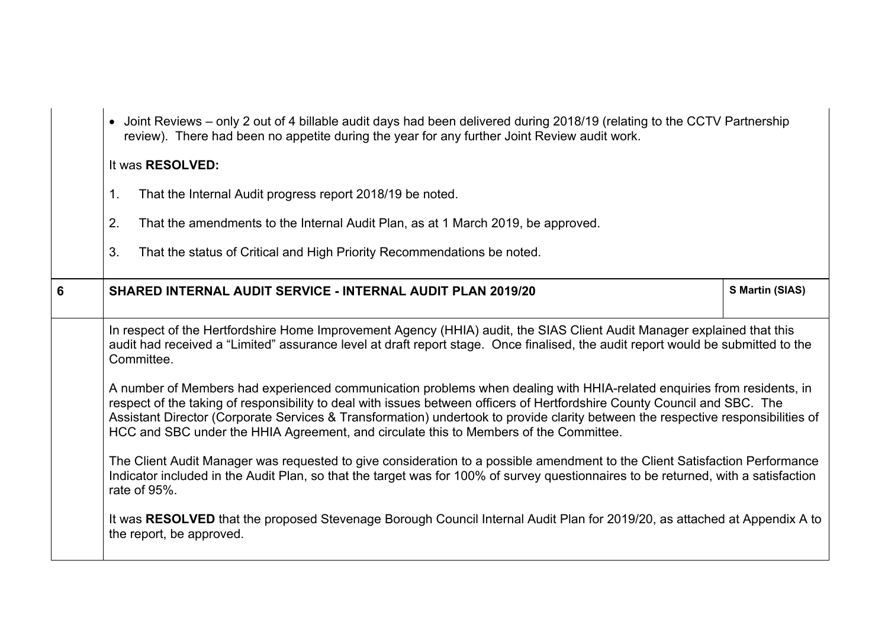|                 | • Joint Reviews – only 2 out of 4 billable audit days had been delivered during 2018/19 (relating to the CCTV Partnership<br>review). There had been no appetite during the year for any further Joint Review audit work.<br>It was <b>RESOLVED:</b><br>That the Internal Audit progress report 2018/19 be noted.<br>1 <sub>1</sub><br>2.<br>That the amendments to the Internal Audit Plan, as at 1 March 2019, be approved.<br>3.<br>That the status of Critical and High Priority Recommendations be noted.                                                                                                                                                                                                                                                                                                                                                                                                                                                                                                                                                                                                                                                                                              |                 |
|-----------------|-------------------------------------------------------------------------------------------------------------------------------------------------------------------------------------------------------------------------------------------------------------------------------------------------------------------------------------------------------------------------------------------------------------------------------------------------------------------------------------------------------------------------------------------------------------------------------------------------------------------------------------------------------------------------------------------------------------------------------------------------------------------------------------------------------------------------------------------------------------------------------------------------------------------------------------------------------------------------------------------------------------------------------------------------------------------------------------------------------------------------------------------------------------------------------------------------------------|-----------------|
| $6\phantom{1}6$ | <b>SHARED INTERNAL AUDIT SERVICE - INTERNAL AUDIT PLAN 2019/20</b>                                                                                                                                                                                                                                                                                                                                                                                                                                                                                                                                                                                                                                                                                                                                                                                                                                                                                                                                                                                                                                                                                                                                          | S Martin (SIAS) |
|                 | In respect of the Hertfordshire Home Improvement Agency (HHIA) audit, the SIAS Client Audit Manager explained that this<br>audit had received a "Limited" assurance level at draft report stage. Once finalised, the audit report would be submitted to the<br>Committee.<br>A number of Members had experienced communication problems when dealing with HHIA-related enquiries from residents, in<br>respect of the taking of responsibility to deal with issues between officers of Hertfordshire County Council and SBC. The<br>Assistant Director (Corporate Services & Transformation) undertook to provide clarity between the respective responsibilities of<br>HCC and SBC under the HHIA Agreement, and circulate this to Members of the Committee.<br>The Client Audit Manager was requested to give consideration to a possible amendment to the Client Satisfaction Performance<br>Indicator included in the Audit Plan, so that the target was for 100% of survey questionnaires to be returned, with a satisfaction<br>rate of 95%.<br>It was RESOLVED that the proposed Stevenage Borough Council Internal Audit Plan for 2019/20, as attached at Appendix A to<br>the report, be approved. |                 |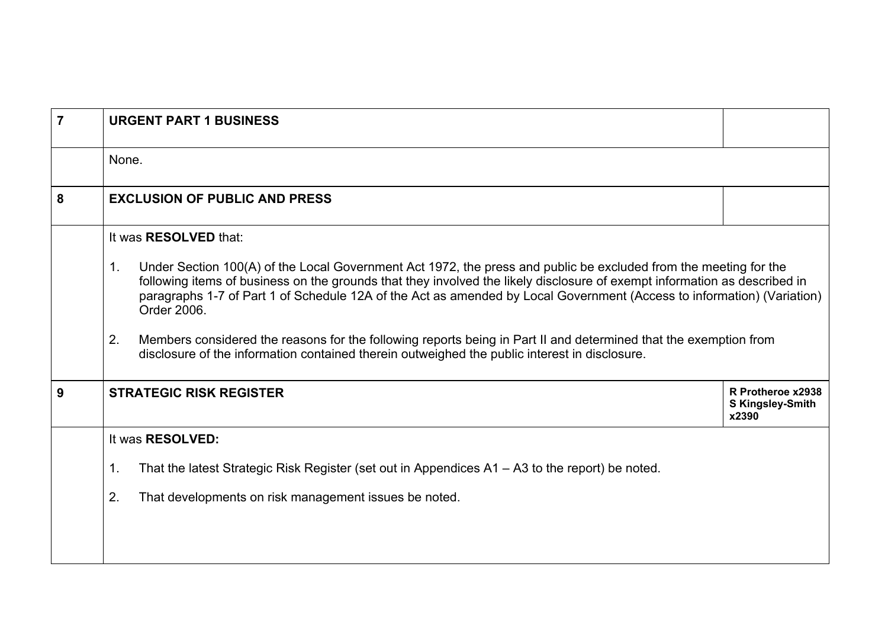| $\overline{7}$ | <b>URGENT PART 1 BUSINESS</b>                                                                                                                                                                                                                                                                                                                                                                |                                                       |  |
|----------------|----------------------------------------------------------------------------------------------------------------------------------------------------------------------------------------------------------------------------------------------------------------------------------------------------------------------------------------------------------------------------------------------|-------------------------------------------------------|--|
|                | None.                                                                                                                                                                                                                                                                                                                                                                                        |                                                       |  |
| 8              | <b>EXCLUSION OF PUBLIC AND PRESS</b>                                                                                                                                                                                                                                                                                                                                                         |                                                       |  |
|                | It was <b>RESOLVED</b> that:                                                                                                                                                                                                                                                                                                                                                                 |                                                       |  |
|                | Under Section 100(A) of the Local Government Act 1972, the press and public be excluded from the meeting for the<br>1.<br>following items of business on the grounds that they involved the likely disclosure of exempt information as described in<br>paragraphs 1-7 of Part 1 of Schedule 12A of the Act as amended by Local Government (Access to information) (Variation)<br>Order 2006. |                                                       |  |
|                | 2.<br>Members considered the reasons for the following reports being in Part II and determined that the exemption from<br>disclosure of the information contained therein outweighed the public interest in disclosure.                                                                                                                                                                      |                                                       |  |
| 9              | <b>STRATEGIC RISK REGISTER</b>                                                                                                                                                                                                                                                                                                                                                               | R Protheroe x2938<br><b>S Kingsley-Smith</b><br>x2390 |  |
|                | It was RESOLVED:                                                                                                                                                                                                                                                                                                                                                                             |                                                       |  |
|                | 1.<br>That the latest Strategic Risk Register (set out in Appendices A1 – A3 to the report) be noted.                                                                                                                                                                                                                                                                                        |                                                       |  |
|                | 2.<br>That developments on risk management issues be noted.                                                                                                                                                                                                                                                                                                                                  |                                                       |  |
|                |                                                                                                                                                                                                                                                                                                                                                                                              |                                                       |  |